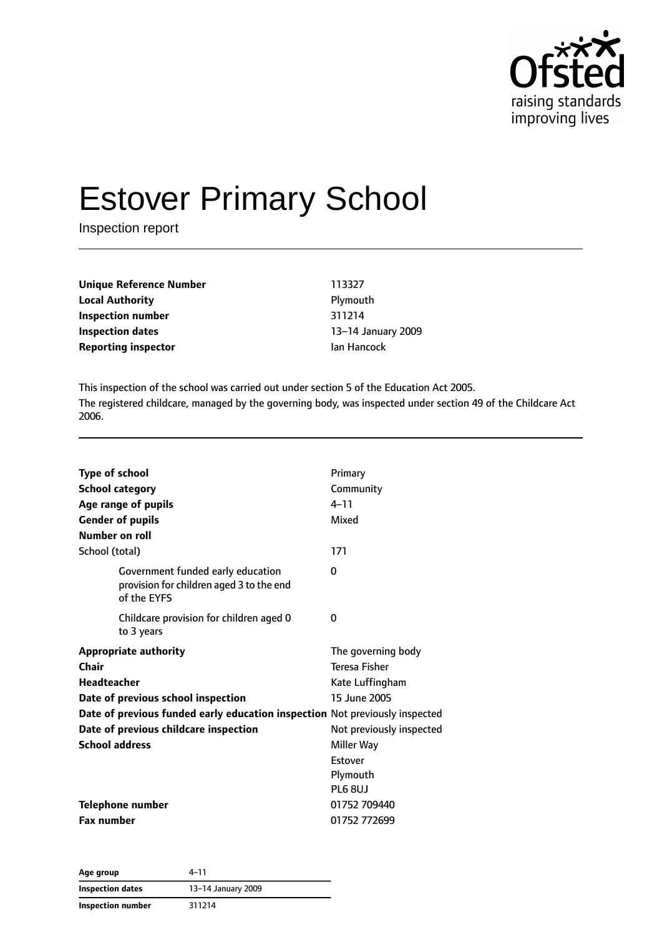

# Estover Primary School

Inspection report

**Unique Reference Number** 113327 **Local Authority Plymouth Inspection number** 311214 **Inspection dates** 13–14 January 2009 **Reporting inspector In the Internal Properties Alan Hancock** 

This inspection of the school was carried out under section 5 of the Education Act 2005. The registered childcare, managed by the governing body, was inspected under section 49 of the Childcare Act 2006.

| <b>Type of school</b><br><b>School category</b><br>Age range of pupils<br><b>Gender of pupils</b><br>Number on roll | Primary<br>Community<br>$4 - 11$<br>Mixed |
|---------------------------------------------------------------------------------------------------------------------|-------------------------------------------|
| School (total)                                                                                                      | 171                                       |
| Government funded early education<br>provision for children aged 3 to the end<br>of the EYFS                        | 0                                         |
| Childcare provision for children aged 0<br>to 3 years                                                               | 0                                         |
| <b>Appropriate authority</b>                                                                                        | The governing body                        |
| Chair                                                                                                               | <b>Teresa Fisher</b>                      |
| <b>Headteacher</b>                                                                                                  | Kate Luffingham                           |
| Date of previous school inspection                                                                                  | 15 June 2005                              |
| Date of previous funded early education inspection Not previously inspected                                         |                                           |
| Date of previous childcare inspection                                                                               | Not previously inspected                  |
| <b>School address</b>                                                                                               | Miller Way                                |
|                                                                                                                     | Estover                                   |
|                                                                                                                     | Plymouth                                  |
|                                                                                                                     | PL6 8UJ                                   |
| <b>Telephone number</b>                                                                                             | 01752 709440                              |
| <b>Fax number</b>                                                                                                   | 01752 772699                              |

| Age group               | $4 - 11$           |  |
|-------------------------|--------------------|--|
| <b>Inspection dates</b> | 13-14 January 2009 |  |
| Inspection number       | 311214             |  |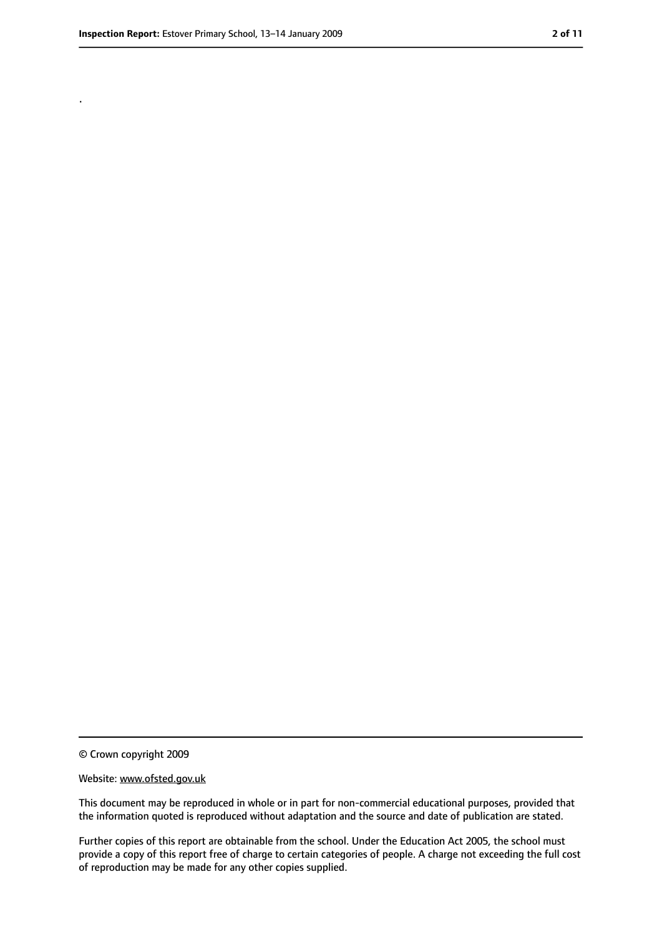.

<sup>©</sup> Crown copyright 2009

Website: www.ofsted.gov.uk

This document may be reproduced in whole or in part for non-commercial educational purposes, provided that the information quoted is reproduced without adaptation and the source and date of publication are stated.

Further copies of this report are obtainable from the school. Under the Education Act 2005, the school must provide a copy of this report free of charge to certain categories of people. A charge not exceeding the full cost of reproduction may be made for any other copies supplied.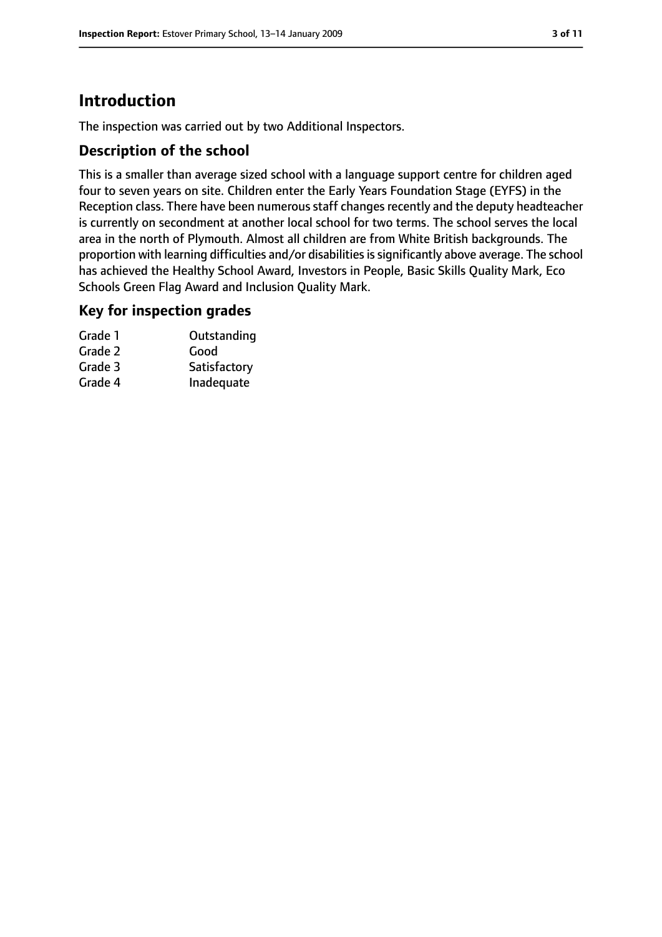# **Introduction**

The inspection was carried out by two Additional Inspectors.

## **Description of the school**

This is a smaller than average sized school with a language support centre for children aged four to seven years on site. Children enter the Early Years Foundation Stage (EYFS) in the Reception class. There have been numerous staff changes recently and the deputy headteacher is currently on secondment at another local school for two terms. The school serves the local area in the north of Plymouth. Almost all children are from White British backgrounds. The proportion with learning difficulties and/or disabilities is significantly above average. The school has achieved the Healthy School Award, Investors in People, Basic Skills Quality Mark, Eco Schools Green Flag Award and Inclusion Quality Mark.

#### **Key for inspection grades**

| Grade 1 | Outstanding  |
|---------|--------------|
| Grade 2 | Good         |
| Grade 3 | Satisfactory |
| Grade 4 | Inadequate   |
|         |              |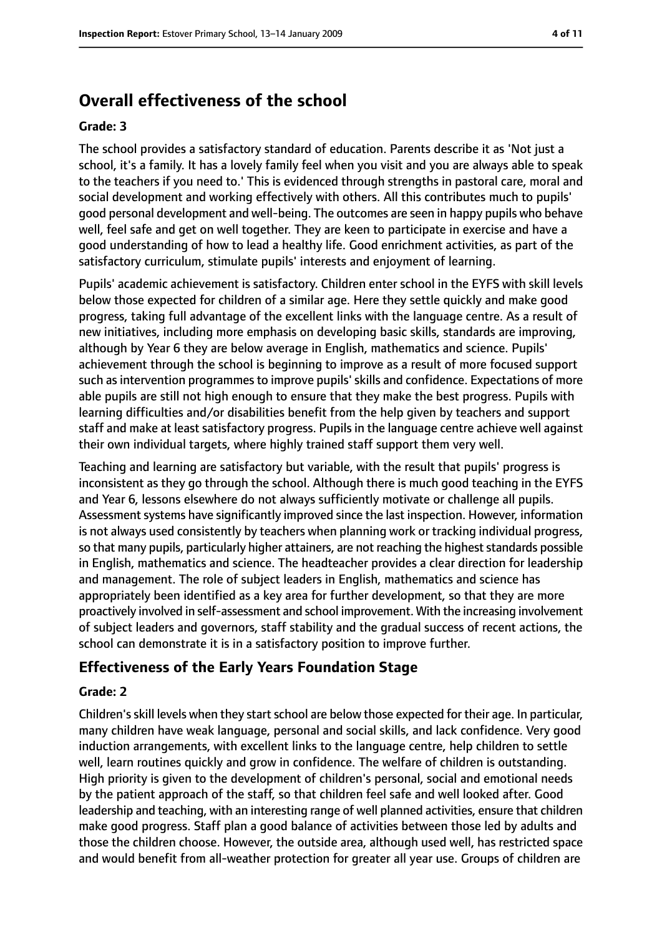# **Overall effectiveness of the school**

#### **Grade: 3**

The school provides a satisfactory standard of education. Parents describe it as 'Not just a school, it's a family. It has a lovely family feel when you visit and you are always able to speak to the teachers if you need to.' This is evidenced through strengths in pastoral care, moral and social development and working effectively with others. All this contributes much to pupils' good personal development and well-being. The outcomes are seen in happy pupils who behave well, feel safe and get on well together. They are keen to participate in exercise and have a good understanding of how to lead a healthy life. Good enrichment activities, as part of the satisfactory curriculum, stimulate pupils' interests and enjoyment of learning.

Pupils' academic achievement is satisfactory. Children enter school in the EYFS with skill levels below those expected for children of a similar age. Here they settle quickly and make good progress, taking full advantage of the excellent links with the language centre. As a result of new initiatives, including more emphasis on developing basic skills, standards are improving, although by Year 6 they are below average in English, mathematics and science. Pupils' achievement through the school is beginning to improve as a result of more focused support such as intervention programmes to improve pupils' skills and confidence. Expectations of more able pupils are still not high enough to ensure that they make the best progress. Pupils with learning difficulties and/or disabilities benefit from the help given by teachers and support staff and make at least satisfactory progress. Pupils in the language centre achieve well against their own individual targets, where highly trained staff support them very well.

Teaching and learning are satisfactory but variable, with the result that pupils' progress is inconsistent as they go through the school. Although there is much good teaching in the EYFS and Year 6, lessons elsewhere do not always sufficiently motivate or challenge all pupils. Assessment systems have significantly improved since the last inspection. However, information is not always used consistently by teachers when planning work or tracking individual progress, so that many pupils, particularly higher attainers, are not reaching the highest standards possible in English, mathematics and science. The headteacher provides a clear direction for leadership and management. The role of subject leaders in English, mathematics and science has appropriately been identified as a key area for further development, so that they are more proactively involved in self-assessment and school improvement. With the increasing involvement of subject leaders and governors, staff stability and the gradual success of recent actions, the school can demonstrate it is in a satisfactory position to improve further.

## **Effectiveness of the Early Years Foundation Stage**

#### **Grade: 2**

Children's skill levels when they start school are below those expected for their age. In particular, many children have weak language, personal and social skills, and lack confidence. Very good induction arrangements, with excellent links to the language centre, help children to settle well, learn routines quickly and grow in confidence. The welfare of children is outstanding. High priority is given to the development of children's personal, social and emotional needs by the patient approach of the staff, so that children feel safe and well looked after. Good leadership and teaching, with an interesting range of well planned activities, ensure that children make good progress. Staff plan a good balance of activities between those led by adults and those the children choose. However, the outside area, although used well, has restricted space and would benefit from all-weather protection for greater all year use. Groups of children are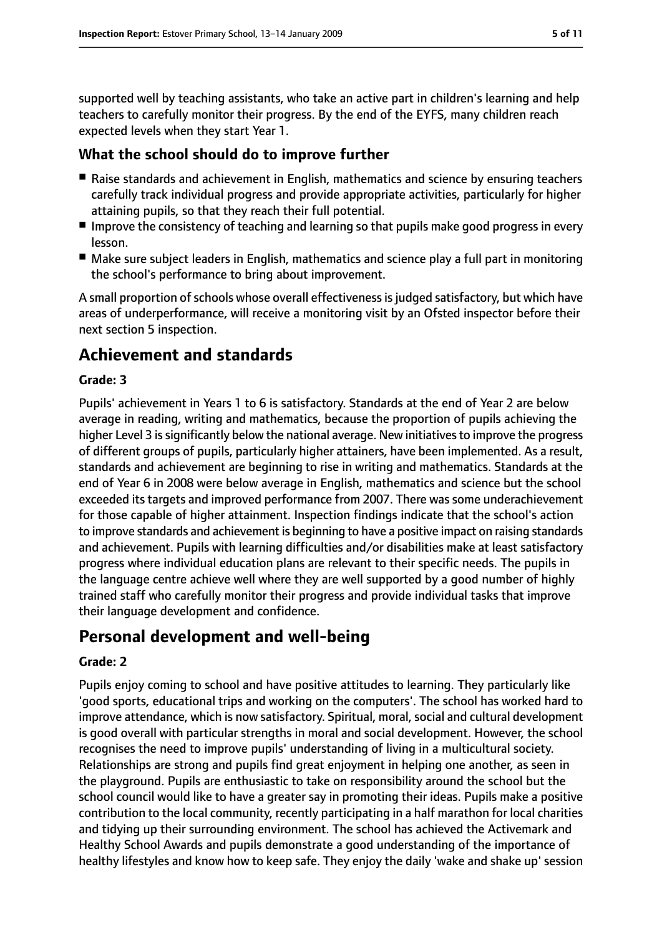supported well by teaching assistants, who take an active part in children's learning and help teachers to carefully monitor their progress. By the end of the EYFS, many children reach expected levels when they start Year 1.

### **What the school should do to improve further**

- Raise standards and achievement in English, mathematics and science by ensuring teachers carefully track individual progress and provide appropriate activities, particularly for higher attaining pupils, so that they reach their full potential.
- Improve the consistency of teaching and learning so that pupils make good progress in every lesson.
- Make sure subject leaders in English, mathematics and science play a full part in monitoring the school's performance to bring about improvement.

A small proportion of schools whose overall effectiveness is judged satisfactory, but which have areas of underperformance, will receive a monitoring visit by an Ofsted inspector before their next section 5 inspection.

# **Achievement and standards**

#### **Grade: 3**

Pupils' achievement in Years 1 to 6 is satisfactory. Standards at the end of Year 2 are below average in reading, writing and mathematics, because the proportion of pupils achieving the higher Level 3 is significantly below the national average. New initiatives to improve the progress of different groups of pupils, particularly higher attainers, have been implemented. As a result, standards and achievement are beginning to rise in writing and mathematics. Standards at the end of Year 6 in 2008 were below average in English, mathematics and science but the school exceeded its targets and improved performance from 2007. There was some underachievement for those capable of higher attainment. Inspection findings indicate that the school's action to improve standards and achievement is beginning to have a positive impact on raising standards and achievement. Pupils with learning difficulties and/or disabilities make at least satisfactory progress where individual education plans are relevant to their specific needs. The pupils in the language centre achieve well where they are well supported by a good number of highly trained staff who carefully monitor their progress and provide individual tasks that improve their language development and confidence.

# **Personal development and well-being**

#### **Grade: 2**

Pupils enjoy coming to school and have positive attitudes to learning. They particularly like 'good sports, educational trips and working on the computers'. The school has worked hard to improve attendance, which is now satisfactory. Spiritual, moral, social and cultural development is good overall with particular strengths in moral and social development. However, the school recognises the need to improve pupils' understanding of living in a multicultural society. Relationships are strong and pupils find great enjoyment in helping one another, as seen in the playground. Pupils are enthusiastic to take on responsibility around the school but the school council would like to have a greater say in promoting their ideas. Pupils make a positive contribution to the local community, recently participating in a half marathon for local charities and tidying up their surrounding environment. The school has achieved the Activemark and Healthy School Awards and pupils demonstrate a good understanding of the importance of healthy lifestyles and know how to keep safe. They enjoy the daily 'wake and shake up' session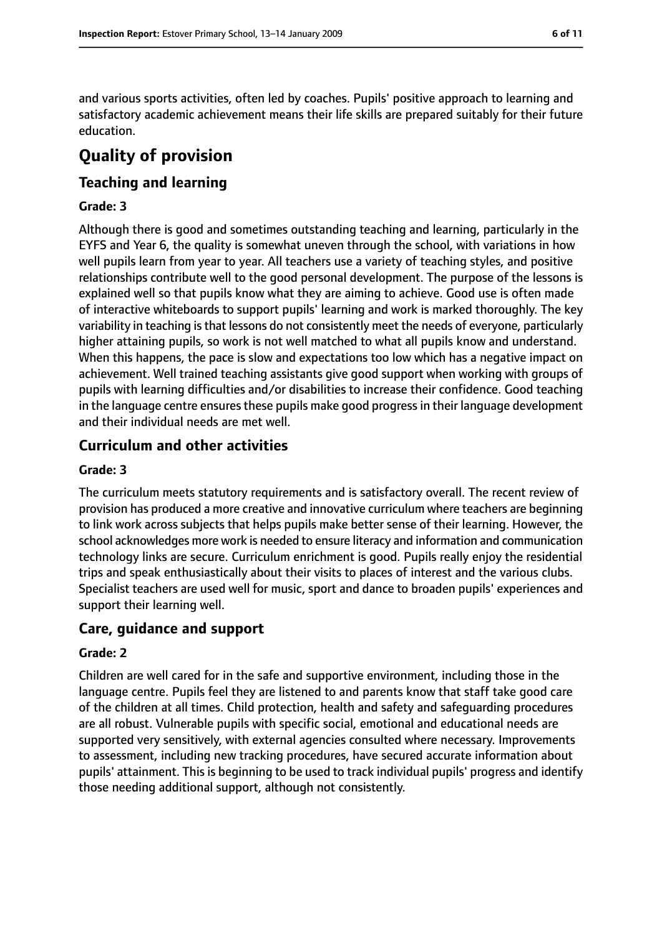and various sports activities, often led by coaches. Pupils' positive approach to learning and satisfactory academic achievement means their life skills are prepared suitably for their future education.

# **Quality of provision**

# **Teaching and learning**

#### **Grade: 3**

Although there is good and sometimes outstanding teaching and learning, particularly in the EYFS and Year 6, the quality is somewhat uneven through the school, with variations in how well pupils learn from year to year. All teachers use a variety of teaching styles, and positive relationships contribute well to the good personal development. The purpose of the lessons is explained well so that pupils know what they are aiming to achieve. Good use is often made of interactive whiteboards to support pupils' learning and work is marked thoroughly. The key variability in teaching is that lessons do not consistently meet the needs of everyone, particularly higher attaining pupils, so work is not well matched to what all pupils know and understand. When this happens, the pace is slow and expectations too low which has a negative impact on achievement. Well trained teaching assistants give good support when working with groups of pupils with learning difficulties and/or disabilities to increase their confidence. Good teaching in the language centre ensures these pupils make good progress in their language development and their individual needs are met well.

## **Curriculum and other activities**

#### **Grade: 3**

The curriculum meets statutory requirements and is satisfactory overall. The recent review of provision has produced a more creative and innovative curriculum where teachers are beginning to link work across subjects that helps pupils make better sense of their learning. However, the school acknowledges more work is needed to ensure literacy and information and communication technology links are secure. Curriculum enrichment is good. Pupils really enjoy the residential trips and speak enthusiastically about their visits to places of interest and the various clubs. Specialist teachers are used well for music, sport and dance to broaden pupils' experiences and support their learning well.

#### **Care, guidance and support**

#### **Grade: 2**

Children are well cared for in the safe and supportive environment, including those in the language centre. Pupils feel they are listened to and parents know that staff take good care of the children at all times. Child protection, health and safety and safeguarding procedures are all robust. Vulnerable pupils with specific social, emotional and educational needs are supported very sensitively, with external agencies consulted where necessary. Improvements to assessment, including new tracking procedures, have secured accurate information about pupils' attainment. This is beginning to be used to track individual pupils' progress and identify those needing additional support, although not consistently.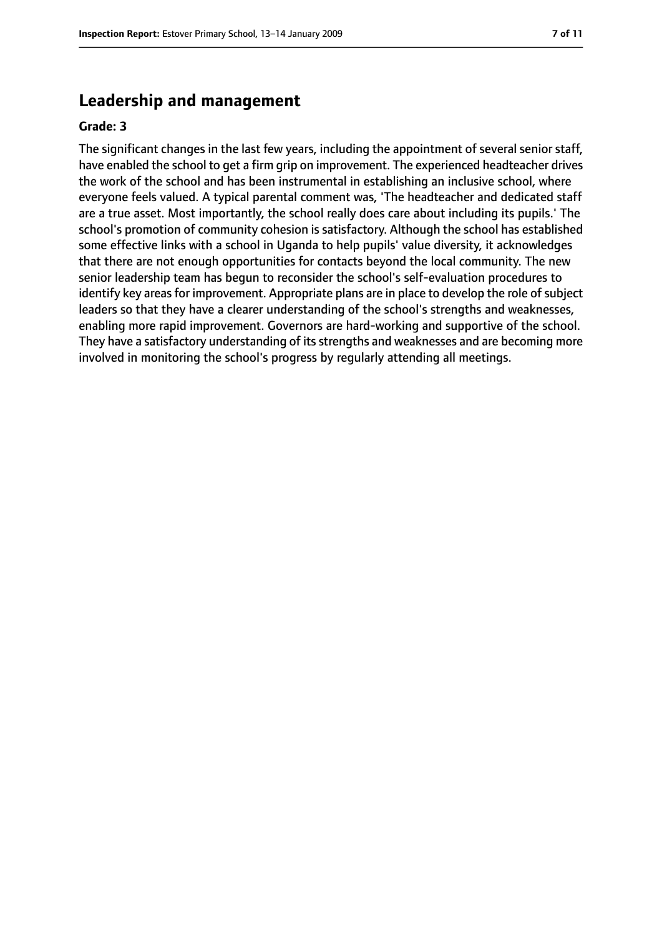# **Leadership and management**

#### **Grade: 3**

The significant changes in the last few years, including the appointment of several senior staff, have enabled the school to get a firm grip on improvement. The experienced headteacher drives the work of the school and has been instrumental in establishing an inclusive school, where everyone feels valued. A typical parental comment was, 'The headteacher and dedicated staff are a true asset. Most importantly, the school really does care about including its pupils.' The school's promotion of community cohesion is satisfactory. Although the school has established some effective links with a school in Uganda to help pupils' value diversity, it acknowledges that there are not enough opportunities for contacts beyond the local community. The new senior leadership team has begun to reconsider the school's self-evaluation procedures to identify key areas for improvement. Appropriate plans are in place to develop the role of subject leaders so that they have a clearer understanding of the school's strengths and weaknesses, enabling more rapid improvement. Governors are hard-working and supportive of the school. They have a satisfactory understanding of its strengths and weaknesses and are becoming more involved in monitoring the school's progress by regularly attending all meetings.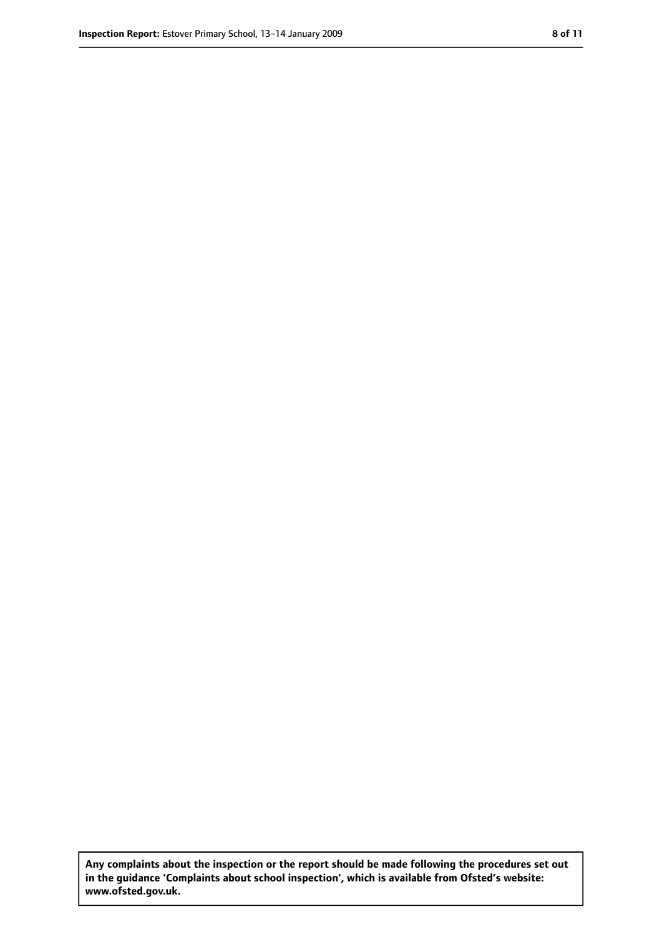**Any complaints about the inspection or the report should be made following the procedures set out in the guidance 'Complaints about school inspection', which is available from Ofsted's website: www.ofsted.gov.uk.**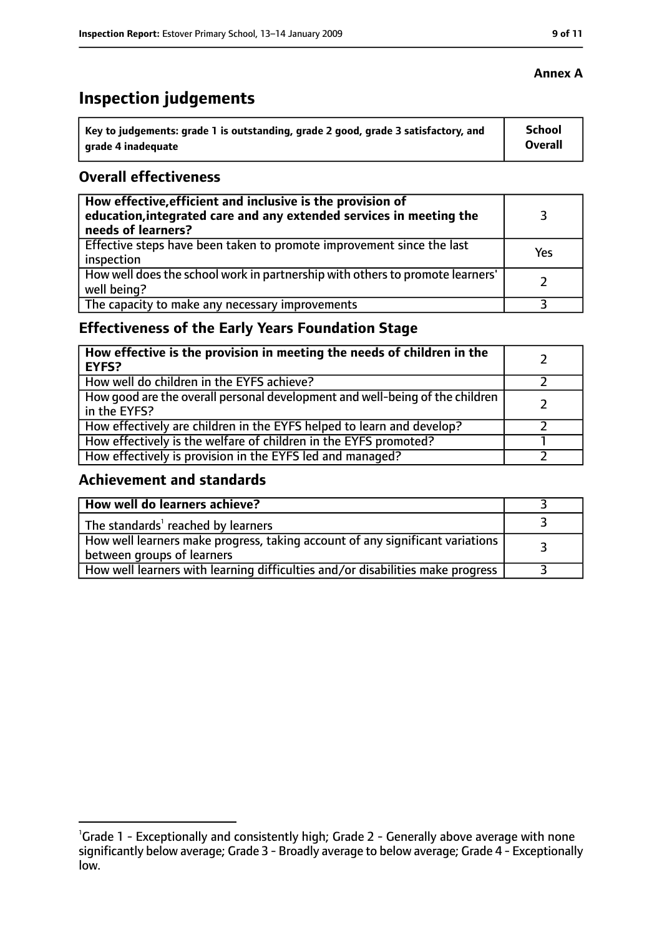# **Inspection judgements**

| key to judgements: grade 1 is outstanding, grade 2 good, grade 3 satisfactory, and ا | School         |
|--------------------------------------------------------------------------------------|----------------|
| arade 4 inadequate                                                                   | <b>Overall</b> |

## **Overall effectiveness**

| How effective, efficient and inclusive is the provision of<br>education, integrated care and any extended services in meeting the<br>needs of learners? |     |
|---------------------------------------------------------------------------------------------------------------------------------------------------------|-----|
| Effective steps have been taken to promote improvement since the last<br>inspection                                                                     | Yes |
| How well does the school work in partnership with others to promote learners'<br>well being?                                                            |     |
| The capacity to make any necessary improvements                                                                                                         |     |

# **Effectiveness of the Early Years Foundation Stage**

| How effective is the provision in meeting the needs of children in the<br>l EYFS?              |  |
|------------------------------------------------------------------------------------------------|--|
| How well do children in the EYFS achieve?                                                      |  |
| How good are the overall personal development and well-being of the children<br>I in the EYFS? |  |
| How effectively are children in the EYFS helped to learn and develop?                          |  |
| How effectively is the welfare of children in the EYFS promoted?                               |  |
| How effectively is provision in the EYFS led and managed?                                      |  |

#### **Achievement and standards**

| How well do learners achieve?                                                  |  |
|--------------------------------------------------------------------------------|--|
| $\vert$ The standards <sup>1</sup> reached by learners                         |  |
| How well learners make progress, taking account of any significant variations  |  |
| between groups of learners                                                     |  |
| How well learners with learning difficulties and/or disabilities make progress |  |

## **Annex A**

<sup>&</sup>lt;sup>1</sup>Grade 1 - Exceptionally and consistently high; Grade 2 - Generally above average with none significantly below average; Grade 3 - Broadly average to below average; Grade 4 - Exceptionally low.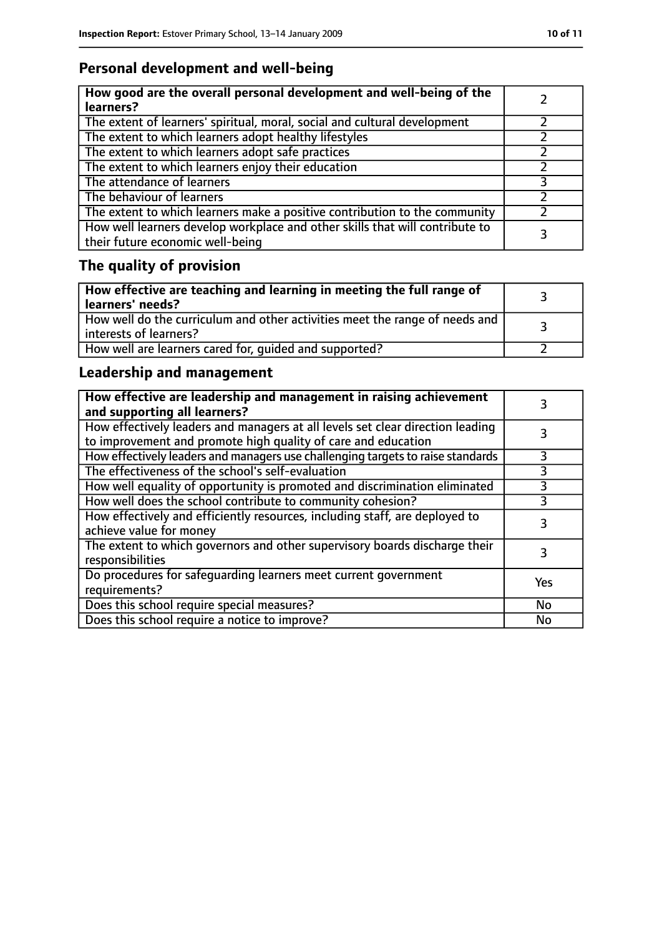# **Personal development and well-being**

| How good are the overall personal development and well-being of the<br>learners?                                 |  |
|------------------------------------------------------------------------------------------------------------------|--|
| The extent of learners' spiritual, moral, social and cultural development                                        |  |
| The extent to which learners adopt healthy lifestyles                                                            |  |
| The extent to which learners adopt safe practices                                                                |  |
| The extent to which learners enjoy their education                                                               |  |
| The attendance of learners                                                                                       |  |
| The behaviour of learners                                                                                        |  |
| The extent to which learners make a positive contribution to the community                                       |  |
| How well learners develop workplace and other skills that will contribute to<br>their future economic well-being |  |

# **The quality of provision**

| $\mid$ How effective are teaching and learning in meeting the full range of<br>  learners' needs?       |  |
|---------------------------------------------------------------------------------------------------------|--|
| How well do the curriculum and other activities meet the range of needs and<br>  interests of learners? |  |
| How well are learners cared for, quided and supported?                                                  |  |

# **Leadership and management**

| How effective are leadership and management in raising achievement<br>and supporting all learners?                                              |     |
|-------------------------------------------------------------------------------------------------------------------------------------------------|-----|
| How effectively leaders and managers at all levels set clear direction leading<br>to improvement and promote high quality of care and education |     |
| How effectively leaders and managers use challenging targets to raise standards                                                                 |     |
| The effectiveness of the school's self-evaluation                                                                                               | 3   |
| How well equality of opportunity is promoted and discrimination eliminated                                                                      | 3   |
| How well does the school contribute to community cohesion?                                                                                      | 3   |
| How effectively and efficiently resources, including staff, are deployed to<br>achieve value for money                                          | 3   |
| The extent to which governors and other supervisory boards discharge their<br>responsibilities                                                  |     |
| Do procedures for safequarding learners meet current government<br>requirements?                                                                | Yes |
| Does this school require special measures?                                                                                                      | No  |
| Does this school require a notice to improve?                                                                                                   | No  |